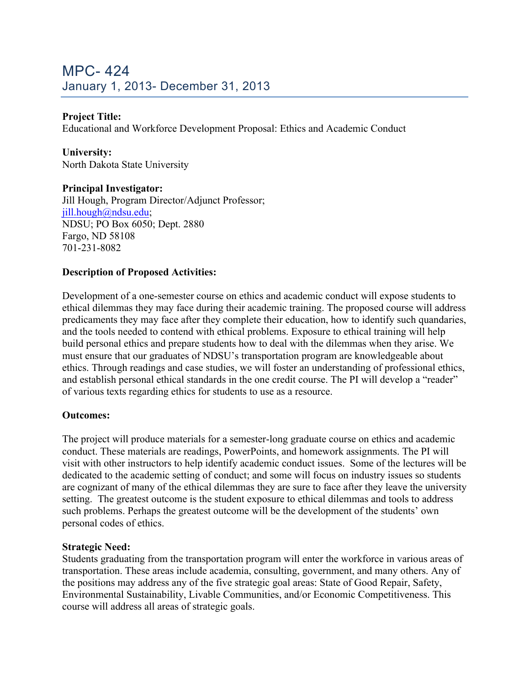# MPC- 424 January 1, 2013- December 31, 2013

## **Project Title:**

Educational and Workforce Development Proposal: Ethics and Academic Conduct

## **University:**

North Dakota State University

### **Principal Investigator:**

Jill Hough, Program Director/Adjunct Professor; jill.hough@ndsu.edu; NDSU; PO Box 6050; Dept. 2880 Fargo, ND 58108 701-231-8082

### **Description of Proposed Activities:**

Development of a one-semester course on ethics and academic conduct will expose students to ethical dilemmas they may face during their academic training. The proposed course will address predicaments they may face after they complete their education, how to identify such quandaries, and the tools needed to contend with ethical problems. Exposure to ethical training will help build personal ethics and prepare students how to deal with the dilemmas when they arise. We must ensure that our graduates of NDSU's transportation program are knowledgeable about ethics. Through readings and case studies, we will foster an understanding of professional ethics, and establish personal ethical standards in the one credit course. The PI will develop a "reader" of various texts regarding ethics for students to use as a resource.

#### **Outcomes:**

The project will produce materials for a semester-long graduate course on ethics and academic conduct. These materials are readings, PowerPoints, and homework assignments. The PI will visit with other instructors to help identify academic conduct issues. Some of the lectures will be dedicated to the academic setting of conduct; and some will focus on industry issues so students are cognizant of many of the ethical dilemmas they are sure to face after they leave the university setting. The greatest outcome is the student exposure to ethical dilemmas and tools to address such problems. Perhaps the greatest outcome will be the development of the students' own personal codes of ethics.

#### **Strategic Need:**

Students graduating from the transportation program will enter the workforce in various areas of transportation. These areas include academia, consulting, government, and many others. Any of the positions may address any of the five strategic goal areas: State of Good Repair, Safety, Environmental Sustainability, Livable Communities, and/or Economic Competitiveness. This course will address all areas of strategic goals.